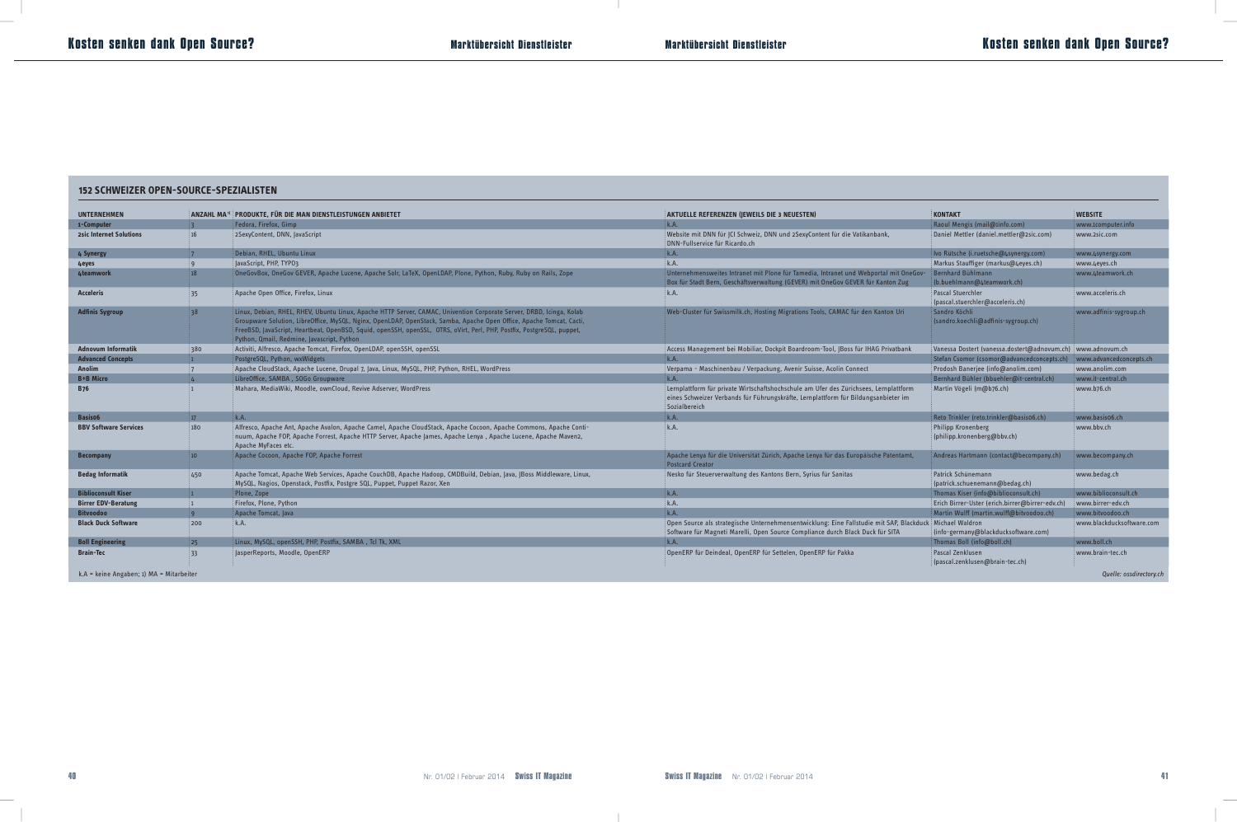### **152 SCHWEIZER OPEN-SOURCE-SPEZIALISTEN**

| <b>UNTERNEHMEN</b>                         |                 | $\,$ ANZAHL MA $^{\rm 0}$ Produkte, für die Man dienstleistungen anbietet                                                                                                                                                                                                                                                                                                                                            | AKTUELLE REFERENZEN (JEWEILS DIE 3 NEUESTEN)                                                                                                                                                 | <b>KONTAKT</b>                                                | <b>WEBSITE</b>            |
|--------------------------------------------|-----------------|----------------------------------------------------------------------------------------------------------------------------------------------------------------------------------------------------------------------------------------------------------------------------------------------------------------------------------------------------------------------------------------------------------------------|----------------------------------------------------------------------------------------------------------------------------------------------------------------------------------------------|---------------------------------------------------------------|---------------------------|
| 1-Computer                                 |                 | Fedora, Firefox, Gimp                                                                                                                                                                                                                                                                                                                                                                                                | k.A.                                                                                                                                                                                         | Raoul Mengis (mail@1info.com)                                 | www.1computer.info        |
| <b>2sic Internet Solutions</b>             | 16              | 2SexyContent, DNN, JavaScript                                                                                                                                                                                                                                                                                                                                                                                        | Website mit DNN für JCI Schweiz, DNN und 2SexyContent für die Vatikanbank,<br>DNN-Fullservice für Ricardo.ch                                                                                 | Daniel Mettler (daniel.mettler@2sic.com)                      | www.2sic.com              |
| 4 Synergy                                  |                 | Debian, RHEL, Ubuntu Linux                                                                                                                                                                                                                                                                                                                                                                                           | k.A.                                                                                                                                                                                         | Ivo Rütsche (i.ruetsche@4synergy.com)                         | www.4synergy.com          |
| 4eyes                                      |                 | JavaScript, PHP, TYP03                                                                                                                                                                                                                                                                                                                                                                                               | k.A.                                                                                                                                                                                         | Markus Stauffiger (markus@4eyes.ch)                           | www.4eyes.ch              |
| 4teamwork                                  | 18              | .<br>©OneGovBox, OneGov GEVER, Apache Lucene, Apache Solr, LaTeX, OpenLDAP, Plone, Python, Ruby, Ruby on Rails, Zope                                                                                                                                                                                                                                                                                                 | Unternehmensweites Intranet mit Plone für Tamedia, Intranet und Webportal mit OneGov-<br>Box für Stadt Bern, Geschäftsverwaltung (GEVER) mit OneGov GEVER für Kanton Zug                     | Bernhard Bühlmann<br>(b.buehlmann@4teamwork.ch)               | www.4teamwork.ch          |
| <b>Acceleris</b>                           | 35 <sub>2</sub> | Apache Open Office, Firefox, Linux                                                                                                                                                                                                                                                                                                                                                                                   | k.A.                                                                                                                                                                                         | <b>Pascal Stuerchler</b><br>(pascal.stuerchler@acceleris.ch)  | www.acceleris.ch          |
| <b>Adfinis Sygroup</b>                     | ່ 38            | Linux, Debian, RHEL, RHEV, Ubuntu Linux, Apache HTTP Server, CAMAC, Univention Corporate Server, DRBD, Icinga, Kolab<br>Groupware Solution, LibreOffice, MySQL, Nginx, OpenLDAP, OpenStack, Samba, Apache Open Office, Apache Tomcat, Cacti,<br>FreeBSD, JavaScript, Heartbeat, OpenBSD, Squid, openSSH, openSSL, OTRS, oVirt, Perl, PHP, Postfix, PostgreSQL, puppet,<br>Python, Qmail, Redmine, Javascript, Python | .<br>Web-Cluster für Swissmilk.ch, Hosting Migrations Tools, CAMAC für den Kanton Uri                                                                                                        | Sandro Köchli<br>(sandro.koechli@adfinis-sygroup.ch)          | www.adfinis-sygroup.ch    |
| <b>Adnovum Informatik</b>                  | 380             | Activiti, Alfresco, Apache Tomcat, Firefox, OpenLDAP, openSSH, openSSL                                                                                                                                                                                                                                                                                                                                               | Access Management bei Mobiliar, Dockpit Boardroom-Tool, JBoss für IHAG Privatbank                                                                                                            | Vanessa Dostert (vanessa.dostert@adnovum.ch)   www.adnovum.ch |                           |
| <b>Advanced Concepts</b>                   |                 | PostgreSQL, Python, wxWidgets                                                                                                                                                                                                                                                                                                                                                                                        | k.A.                                                                                                                                                                                         | Stefan Csomor (csomor@advancedconcepts.ch)                    | www.advancedconcepts.ch   |
| <b>Anolim</b>                              |                 | Apache CloudStack, Apache Lucene, Drupal 7, Java, Linux, MySQL, PHP, Python, RHEL, WordPress ?                                                                                                                                                                                                                                                                                                                       | Verpama - Maschinenbau / Verpackung, Avenir Suisse, Acolin Connect                                                                                                                           | Prodosh Banerjee (info@anolim.com)                            | www.anolim.com            |
| <b>B+B Micro</b>                           |                 | LibreOffice, SAMBA, SOGo Groupware                                                                                                                                                                                                                                                                                                                                                                                   | k.A.                                                                                                                                                                                         | Bernhard Bühler (bbuehler@it-central.ch)                      | www.it-central.ch         |
| <b>B76</b>                                 |                 | Mahara, MediaWiki, Moodle, ownCloud, Revive Adserver, WordPress                                                                                                                                                                                                                                                                                                                                                      | Lernplattform für private Wirtschaftshochschule am Ufer des Zürichsees, Lernplattform<br>eines Schweizer Verbands für Führungskräfte, Lernplattform für Bildungsanbieter im<br>Sozialbereich | Martin Vögeli (m@b76.ch)                                      | www.b76.ch                |
| Basis06                                    | 17              | k.A.                                                                                                                                                                                                                                                                                                                                                                                                                 | k.A.                                                                                                                                                                                         | Reto Trinkler (reto.trinkler@basis06.ch)                      | www.basis06.ch            |
| <b>BBV Software Services</b>               | 180             | Alfresco, Apache Ant, Apache Avalon, Apache Camel, Apache CloudStack, Apache Cocoon, Apache Commons, Apache Conti-<br>: nuum, Apache FOP, Apache Forrest, Apache HTTP Server, Apache James, Apache Lenya , Apache Lucene, Apache Maven2,<br>Apache MyFaces etc.                                                                                                                                                      | k.A.                                                                                                                                                                                         | Philipp Kronenberg<br>(philipp.kronenberg@bbv.ch)             | www.bbv.ch                |
| <b>Becompany</b>                           | $10-10$         | Apache Cocoon, Apache FOP, Apache Forrest                                                                                                                                                                                                                                                                                                                                                                            | Apache Lenya für die Universität Zürich, Apache Lenya für das Europäische Patentamt<br><b>Postcard Creator</b>                                                                               | Andreas Hartmann (contact@becompany.ch)                       | www.becompany.ch          |
| <b>Bedag Informatik</b>                    | 450             | : Apache Tomcat, Apache Web Services, Apache CouchDB, Apache Hadoop, CMDBuild, Debian, Java, JBoss Middleware, Linux,<br>MySQL, Nagios, Openstack, Postfix, Postgre SQL, Puppet, Puppet Razor, Xen                                                                                                                                                                                                                   | Nesko für Steuerverwaltung des Kantons Bern, Syrius für Sanitas                                                                                                                              | Patrick Schünemann<br>(patrick.schuenemann@bedag.ch)          | www.bedag.ch              |
| <b>Biblioconsult Kiser</b>                 | i 1 -           | Plone, Zope                                                                                                                                                                                                                                                                                                                                                                                                          | k.A.                                                                                                                                                                                         | Thomas Kiser (info@biblioconsult.ch)                          | www.biblioconsult.ch      |
| <b>Birrer EDV-Beratung</b>                 | $\mathbf{1}$    | Firefox, Plone, Python                                                                                                                                                                                                                                                                                                                                                                                               | k.A.                                                                                                                                                                                         | Erich Birrer-Uster (erich.birrer@birrer-edv.ch)               | www.birrer-edv.ch         |
| <b>Bitvoodoo</b>                           |                 | Apache Tomcat, Java                                                                                                                                                                                                                                                                                                                                                                                                  | k.A.                                                                                                                                                                                         | Martin Wulff (martin.wulff@bitvoodoo.ch)                      | www.bityoodoo.ch          |
| <b>Black Duck Software</b>                 | 200             | k.A.                                                                                                                                                                                                                                                                                                                                                                                                                 | Open Source als strategische Unternehmensentwicklung: Eine Fallstudie mit SAP, Blackduck Michael Waldron<br>Software für Magneti Marelli, Open Source Compliance durch Black Duck für SITA   | (info-germany@blackducksoftware.com)                          | www.blackducksoftware.com |
| <b>Boll Engineering</b>                    | 25              | Linux, MySQL, openSSH, PHP, Postfix, SAMBA , Tcl Tk, XML                                                                                                                                                                                                                                                                                                                                                             | k.A.                                                                                                                                                                                         | Thomas Boll (info@boll.ch)                                    | www.boll.ch               |
| <b>Brain-Tec</b>                           | 33 <sup>2</sup> | JasperReports, Moodle, OpenERP                                                                                                                                                                                                                                                                                                                                                                                       | OpenERP für Deindeal, OpenERP für Settelen, OpenERP für Pakka                                                                                                                                | Pascal Zenklusen<br>(pascal.zenklusen@brain-tec.ch)           | www.brain-tec.ch          |
| $k.A =$ keine Angaben; 1) MA = Mitarbeiter |                 |                                                                                                                                                                                                                                                                                                                                                                                                                      |                                                                                                                                                                                              |                                                               | Quelle: ossdirectory.ch   |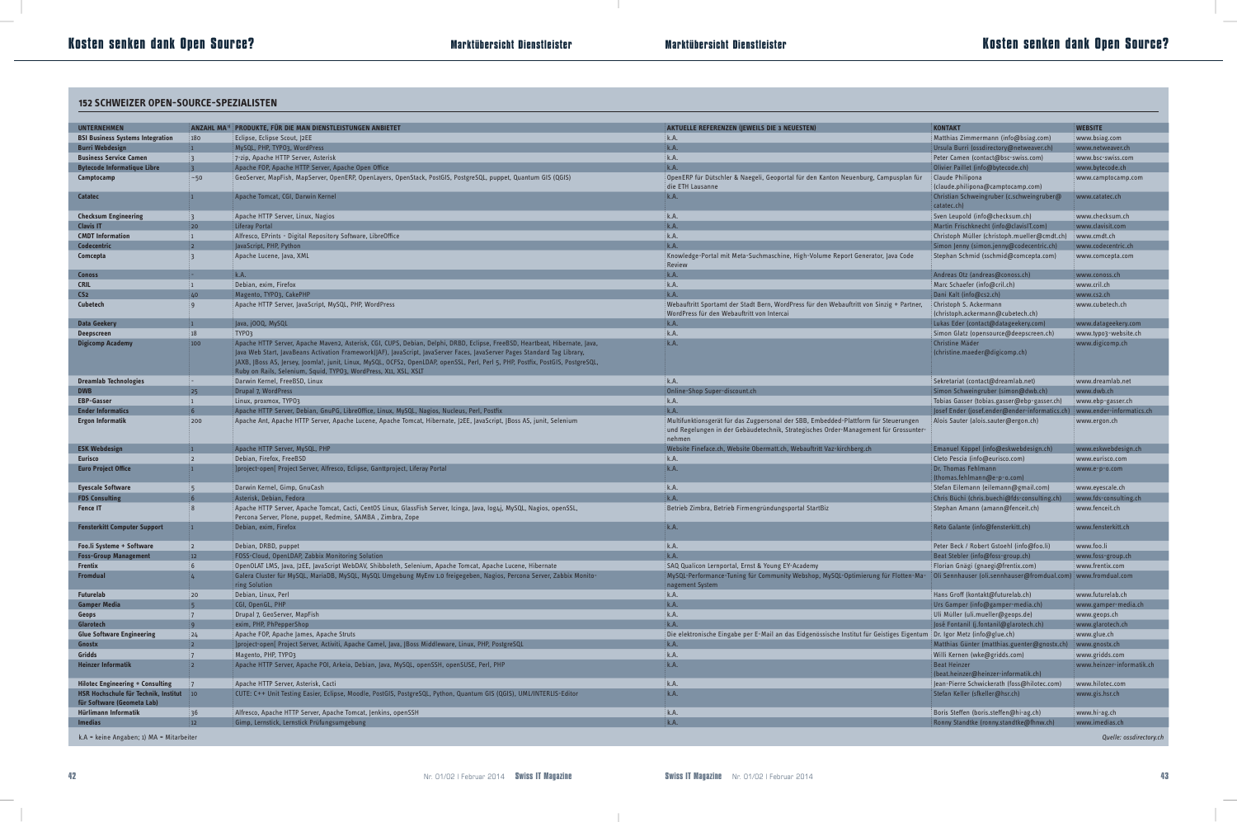# **Marktübersicht Dienstleister Kosten senken dank Open Source?**

### **152 SCHWEIZER OPEN-SOURCE-SPEZIALISTEN**

| 152 SCHWEIZER OPEN-SOURCE-SPEZIALISTEN                                |                                                          |                                                                                                                                                                                                                                                                                                                                       |                                                                                                                                                                                       |                                                                                |                                             |  |
|-----------------------------------------------------------------------|----------------------------------------------------------|---------------------------------------------------------------------------------------------------------------------------------------------------------------------------------------------------------------------------------------------------------------------------------------------------------------------------------------|---------------------------------------------------------------------------------------------------------------------------------------------------------------------------------------|--------------------------------------------------------------------------------|---------------------------------------------|--|
|                                                                       |                                                          |                                                                                                                                                                                                                                                                                                                                       |                                                                                                                                                                                       |                                                                                |                                             |  |
| <b>UNTERNEHMEN</b>                                                    |                                                          | ANZAHL MA <sup>®</sup> PRODUKTE, FÜR DIE MAN DIENSTLEISTUNGEN ANBIETET                                                                                                                                                                                                                                                                | AKTUELLE REFERENZEN (JEWEILS DIE 3 NEUESTEN)                                                                                                                                          | <b>KONTAKT</b>                                                                 | <b>WEBSITE</b>                              |  |
| <b>BSI Business Systems Integration</b>                               | $ 180\rangle$                                            | Eclipse, Eclipse Scout, J2EE                                                                                                                                                                                                                                                                                                          | k.A.                                                                                                                                                                                  | Matthias Zimmermann (info@bsiag.com)                                           | www.bsiag.com                               |  |
| <b>Burri Webdesign</b>                                                |                                                          | MySQL, PHP, TYPO3, WordPress                                                                                                                                                                                                                                                                                                          | k.A.                                                                                                                                                                                  | Ursula Burri (ossdirectory@netweaver.ch)                                       | www.netweaver.ch                            |  |
| <b>Business Service Camen</b>                                         | $\mathbf{3}$                                             | 7-zip, Apache HTTP Server, Asterisk                                                                                                                                                                                                                                                                                                   | k.A.                                                                                                                                                                                  | Peter Camen (contact@bsc-swiss.com)                                            | www.bsc-swiss.com                           |  |
| <b>Bytecode Informatique Libre</b>                                    |                                                          | Apache FOP, Apache HTTP Server, Apache Open Office                                                                                                                                                                                                                                                                                    | k.A.                                                                                                                                                                                  | Olivier Paillet (info@bytecode.ch)                                             | www.bytecode.ch                             |  |
| Camptocamp                                                            | $\sim$ 50                                                | GeoServer, MapFish, MapServer, OpenERP, OpenLayers, OpenStack, PostGIS, PostgreSQL, puppet, Quantum GIS (QGIS)                                                                                                                                                                                                                        | OpenERP für Dütschler & Naegeli, Geoportal für den Kanton Neuenburg, Campusplan für<br>die ETH Lausanne                                                                               | Claude Philipona<br>(claude.philipona@camptocamp.com)                          | www.camptocamp.com                          |  |
| <b>Catatec</b>                                                        | п.                                                       | Apache Tomcat, CGI, Darwin Kernel                                                                                                                                                                                                                                                                                                     | k.A.                                                                                                                                                                                  | Christian Schweingruber (c.schweingruber@<br>catatec.ch)                       | www.catatec.ch                              |  |
| <b>Checksum Engineering</b>                                           | : 3                                                      | Apache HTTP Server, Linux, Nagios                                                                                                                                                                                                                                                                                                     | k.A.                                                                                                                                                                                  | Sven Leupold (info@checksum.ch)                                                | www.checksum.ch                             |  |
| <b>Clavis IT</b>                                                      | 20                                                       | Liferay Portal                                                                                                                                                                                                                                                                                                                        | k.A.                                                                                                                                                                                  | Martin Frischknecht (info@clavisIT.com)                                        | www.clavisit.com                            |  |
| <b>CMDT Information</b>                                               | $\mathbf{1}$                                             | Alfresco, EPrints - Digital Repository Software, LibreOffice                                                                                                                                                                                                                                                                          | k.A.                                                                                                                                                                                  | Christoph Müller (christoph.mueller@cmdt.ch)                                   | www.cmdt.ch                                 |  |
| Codecentric                                                           |                                                          | JavaScript, PHP, Python                                                                                                                                                                                                                                                                                                               | k.A.                                                                                                                                                                                  | Simon Jenny (simon.jenny@codecentric.ch)                                       | www.codecentric.ch                          |  |
| Comcepta                                                              |                                                          | Apache Lucene, Java, XML                                                                                                                                                                                                                                                                                                              | Knowledge-Portal mit Meta-Suchmaschine, High-Volume Report Generator, Java Code<br>Review                                                                                             | Stephan Schmid (sschmid@comcepta.com)                                          | www.comcepta.com                            |  |
| <b>Conoss</b>                                                         | E – I                                                    | k.A.                                                                                                                                                                                                                                                                                                                                  | k.A.                                                                                                                                                                                  | Andreas Otz (andreas@conoss.ch)                                                | : www.conoss.ch                             |  |
| <b>CRIL</b>                                                           | $\mathbf{1}$                                             | Debian, exim, Firefox                                                                                                                                                                                                                                                                                                                 | k.A.                                                                                                                                                                                  | Marc Schaefer (info@cril.ch)                                                   | www.cril.ch                                 |  |
| CS <sub>2</sub>                                                       | 40                                                       | Magento, TYPO3, CakePHP                                                                                                                                                                                                                                                                                                               | k.A.                                                                                                                                                                                  | Dani Kalt (info@cs2.ch)                                                        | www.cs2.ch                                  |  |
| <b>Cubetech</b>                                                       | : q                                                      | Apache HTTP Server, JavaScript, MySQL, PHP, WordPress                                                                                                                                                                                                                                                                                 | Webauftritt Sportamt der Stadt Bern, WordPress für den Webauftritt von Sinzig + Partner,<br>WordPress für den Webauftritt von Intercai                                                | Christoph S. Ackermann<br>(christoph.ackermann@cubetech.ch)                    | www.cubetech.ch                             |  |
| <b>Data Geekery</b><br><b>Deepscreen</b>                              | $\mathbf{1}$<br>18                                       | Java, j000, MySQL<br>TYP03                                                                                                                                                                                                                                                                                                            | k.A.<br>k.A.                                                                                                                                                                          | Lukas Eder (contact@datageekery.com)<br>Simon Glatz (opensource@deepscreen.ch) | www.datageekery.com<br>www.typo3-website.ch |  |
| <b>Digicomp Academy</b>                                               | 100                                                      | .<br>Apache HTTP Server, Apache Maven2, Asterisk, CGI, CUPS, Debian, Delphi, DRBD, Eclipse, FreeBSD, Heartbeat, Hibernate, Java,                                                                                                                                                                                                      | k.A.                                                                                                                                                                                  | Christine Mäder                                                                | www.digicomp.ch                             |  |
|                                                                       |                                                          | : Java Web Start, JavaBeans Activation Framework(JAF), JavaScript, JavaServer Faces, JavaServer Pages Standard Tag Library,<br>: JAXB, JBoss AS, Jersey, Joomla!, junit, Linux, MySQL, OCFS2, OpenLDAP, openSSL, Perl, Perl 5, PHP, Postfix, PostGIS, PostgreSQL,<br>Ruby on Rails, Selenium, Squid, TYPO3, WordPress, X11, XSL, XSLT |                                                                                                                                                                                       | (christine.maeder@digicomp.ch)                                                 |                                             |  |
| <b>Dreamlab Technologies</b>                                          | E÷ i                                                     | Darwin Kernel, FreeBSD, Linux                                                                                                                                                                                                                                                                                                         | k.A.                                                                                                                                                                                  | Sekretariat (contact@dreamlab.net)                                             | www.dreamlab.net                            |  |
| <b>DWB</b>                                                            | 25                                                       | Drupal 7, WordPress                                                                                                                                                                                                                                                                                                                   | Online-Shop Super-discount.ch                                                                                                                                                         | Simon Schweingruber (simon@dwb.ch)                                             | www.dwb.ch                                  |  |
| <b>EBP-Gasser</b>                                                     | $\left  \begin{smallmatrix} 1 \end{smallmatrix} \right $ | : Linux, proxmox, TYPO3                                                                                                                                                                                                                                                                                                               | k.A.                                                                                                                                                                                  | Tobias Gasser (tobias.gasser@ebp-gasser.ch)                                    | www.ebp-gasser.ch                           |  |
| <b>Ender Informatics</b>                                              | 6 <sup>5</sup>                                           | Apache HTTP Server, Debian, GnuPG, LibreOffice, Linux, MySQL, Nagios, Nucleus, Perl, Postfix                                                                                                                                                                                                                                          | k.A.                                                                                                                                                                                  | Josef Ender (josef.ender@ender-informatics.ch)                                 | www.ender-informatics.ch                    |  |
| <b>Ergon Informatik</b>                                               | 200                                                      | Apache Ant, Apache HTTP Server, Apache Lucene, Apache Tomcat, Hibernate, J2EE, JavaScript, JBoss AS, junit, Selenium                                                                                                                                                                                                                  | Multifunktionsgerät für das Zugpersonal der SBB, Embedded-Plattform für Steuerungen<br>und Regelungen in der Gebäudetechnik, Strategisches Order-Management für Grossunter-<br>nehmen | Alois Sauter (alois.sauter@ergon.ch)                                           | www.ergon.ch                                |  |
| <b>ESK Webdesign</b>                                                  |                                                          | Apache HTTP Server, MySQL, PHP                                                                                                                                                                                                                                                                                                        | Website Fineface.ch, Website Obermatt.ch, Webauftritt Vaz-kirchberg.ch                                                                                                                | Emanuel Köppel (info@eskwebdesign.ch)                                          | www.eskwebdesign.ch                         |  |
| <b>Eurisco</b>                                                        | $\frac{1}{2}$                                            | Debian, Firefox, FreeBSD                                                                                                                                                                                                                                                                                                              | k.A.                                                                                                                                                                                  | Cleto Pescia (info@eurisco.com)                                                | www.eurisco.com                             |  |
| <b>Euro Project Office</b>                                            | п.                                                       | [project-open[ Project Server, Alfresco, Eclipse, Ganttproject, Liferay Portal                                                                                                                                                                                                                                                        | k.A.                                                                                                                                                                                  | Dr. Thomas Fehlmann<br>(thomas.fehlmann@e-p-o.com)                             | www.e-p-o.com                               |  |
| <b>Eyescale Software</b>                                              | $5 -$                                                    | Darwin Kernel, Gimp, GnuCash                                                                                                                                                                                                                                                                                                          | k.A.                                                                                                                                                                                  | Stefan Eilemann (eilemann@gmail.com)                                           | www.eyescale.ch                             |  |
| <b>FDS Consulting</b>                                                 |                                                          | Asterisk, Debian, Fedora                                                                                                                                                                                                                                                                                                              | k.A.                                                                                                                                                                                  | Chris Büchi (chris.buechi@fds-consulting.ch)                                   | www.fds-consulting.ch                       |  |
| <b>Fence IT</b>                                                       |                                                          | : Apache HTTP Server, Apache Tomcat, Cacti, CentOS Linux, GlassFish Server, Icinga, Java, Iog4j, MySQL, Nagios, openSSL,<br>Percona Server, Plone, puppet, Redmine, SAMBA, Zimbra, Zope                                                                                                                                               | Betrieb Zimbra, Betrieb Firmengründungsportal StartBiz                                                                                                                                | Stephan Amann (amann@fenceit.ch)                                               | www.fenceit.ch                              |  |
| <b>Fensterkitt Computer Support</b>                                   | 1                                                        | Debian, exim, Firefox                                                                                                                                                                                                                                                                                                                 | k.A.                                                                                                                                                                                  | Reto Galante (info@fensterkitt.ch)                                             | www.fensterkitt.ch                          |  |
| Foo.li Systeme + Software                                             | $\frac{1}{2}$                                            | Debian, DRBD, puppet                                                                                                                                                                                                                                                                                                                  | k.A.                                                                                                                                                                                  | Peter Beck / Robert Gstoehl (info@foo.li)                                      | www.foo.li                                  |  |
| <b>Foss-Group Management</b>                                          | 12                                                       | FOSS-Cloud, OpenLDAP, Zabbix Monitoring Solution                                                                                                                                                                                                                                                                                      | k.A.                                                                                                                                                                                  | Beat Stebler (info@foss-group.ch)                                              | www.foss-group.ch                           |  |
| <b>Frentix</b>                                                        | $6^{\circ}$                                              | OpenOLAT LMS, Java, J2EE, JavaScript WebDAV, Shibboleth, Selenium, Apache Tomcat, Apache Lucene, Hibernate                                                                                                                                                                                                                            | SAQ Qualicon Lernportal, Ernst & Young EY-Academy                                                                                                                                     | Florian Gnägi (gnaegi@frentix.com)                                             | www.frentix.com                             |  |
| <b>Fromdual</b>                                                       |                                                          | Galera Cluster für MySQL, MariaDB, MySQL, MySQL Umgebung MyEnv 1.0 freigegeben, Nagios, Percona Server, Zabbix Monito-<br>ring Solution                                                                                                                                                                                               | MySQL-Performance-Tuning für Community Webshop, MySQL-Optimierung für Flotten-Ma-<br>nagement System                                                                                  | Oli Sennhauser (oli.sennhauser@fromdual.com)   www.fromdual.com                |                                             |  |
| <b>Futurelab</b>                                                      | 20 <sub>2</sub>                                          | Debian, Linux, Perl                                                                                                                                                                                                                                                                                                                   | k.A.                                                                                                                                                                                  | Hans Groff (kontakt@futurelab.ch)                                              | www.futurelab.ch                            |  |
| <b>Gamper Media</b>                                                   |                                                          | CGI, OpenGL, PHP                                                                                                                                                                                                                                                                                                                      | k.A.                                                                                                                                                                                  | Urs Gamper (info@gamper-media.ch)                                              | www.gamper-media.ch                         |  |
| Geops                                                                 | 17                                                       | Drupal 7, GeoServer, MapFish                                                                                                                                                                                                                                                                                                          | k.A.                                                                                                                                                                                  | Uli Müller (uli.mueller@geops.de)                                              | www.geops.ch                                |  |
| Glarotech                                                             |                                                          | exim, PHP, PhPepperShop                                                                                                                                                                                                                                                                                                               | k.A.                                                                                                                                                                                  | José Fontanil (j.fontanil@glarotech.ch)                                        | www.glarotech.ch                            |  |
| <b>Glue Software Engineering</b>                                      | 24                                                       | Apache FOP, Apache James, Apache Struts                                                                                                                                                                                                                                                                                               | Die elektronische Eingabe per E-Mail an das Eidgenössische Institut für Geistiges Eigentum Dr. Igor Metz (info@glue.ch)                                                               |                                                                                | www.glue.ch                                 |  |
| Gnostx                                                                | $2^{\circ}$                                              | [project-open[ Project Server, Activiti, Apache Camel, Java, JBoss Middleware, Linux, PHP, PostgreSQL                                                                                                                                                                                                                                 | k.A.                                                                                                                                                                                  | Matthias Günter (matthias.guenter@gnostx.ch)                                   | www.gnostx.ch                               |  |
| Gridds                                                                | $7^{\circ}$                                              | Magento, PHP, TYP03                                                                                                                                                                                                                                                                                                                   | k.A.                                                                                                                                                                                  | Willi Kernen (wke@gridds.com)                                                  | www.gridds.com                              |  |
| <b>Heinzer Informatik</b>                                             | $2^{\circ}$                                              | Apache HTTP Server, Apache POI, Arkeia, Debian, Java, MySQL, openSSH, openSUSE, Perl, PHP                                                                                                                                                                                                                                             | k.A.                                                                                                                                                                                  | <b>Beat Heinzer</b><br>(beat.heinzer@heinzer-informatik.ch)                    | www.heinzer-informatik.ch                   |  |
| <b>Hilotec Engineering + Consulting</b>                               | 17                                                       | Apache HTTP Server, Asterisk, Cacti                                                                                                                                                                                                                                                                                                   | k.A.                                                                                                                                                                                  | Jean-Pierre Schwickerath (foss@hilotec.com)                                    | www.hilotec.com                             |  |
| HSR Hochschule für Technik, Institut 10<br>für Software (Geometa Lab) |                                                          | CUTE: C++ Unit Testing Easier, Eclipse, Moodle, PostGIS, PostgreSQL, Python, Quantum GIS (QGIS), UML/INTERLIS-Editor                                                                                                                                                                                                                  | k.A.                                                                                                                                                                                  | Stefan Keller (sfkeller@hsr.ch)                                                | www.gis.hsr.ch                              |  |
| Hürlimann Informatik                                                  | 36                                                       | Alfresco, Apache HTTP Server, Apache Tomcat, Jenkins, openSSH                                                                                                                                                                                                                                                                         | k.A.                                                                                                                                                                                  | Boris Steffen (boris.steffen@hi-ag.ch)                                         | www.hi-ag.ch                                |  |
| <b>Imedias</b>                                                        | 12                                                       | Gimp, Lernstick, Lernstick Prüfungsumgebung                                                                                                                                                                                                                                                                                           | k.A.                                                                                                                                                                                  | Ronny Standtke (ronny.standtke@fhnw.ch)                                        | www.imedias.ch                              |  |
| k.A = keine Angaben; 1) MA = Mitarbeiter                              |                                                          |                                                                                                                                                                                                                                                                                                                                       |                                                                                                                                                                                       |                                                                                | Quelle: ossdirectory.ch                     |  |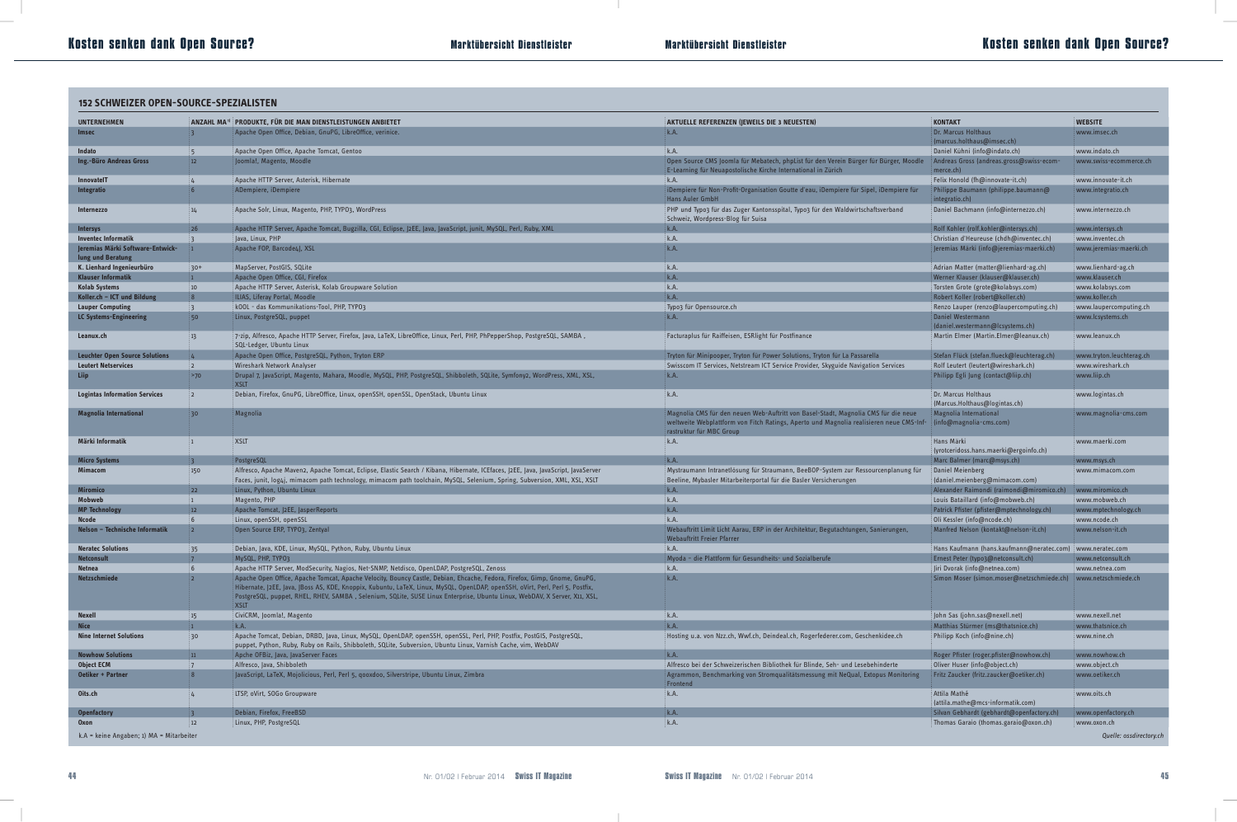# **Marktübersicht Dienstleister Kosten senken dank Open Source?**

| <b>152 SCHWEIZER OPEN-SOURCE-SPEZIALISTEN</b>                       |                  |                                                                                                                                                                                                                                                                            |                                                                                                                                                                                                           |                                                                                                |                          |  |  |
|---------------------------------------------------------------------|------------------|----------------------------------------------------------------------------------------------------------------------------------------------------------------------------------------------------------------------------------------------------------------------------|-----------------------------------------------------------------------------------------------------------------------------------------------------------------------------------------------------------|------------------------------------------------------------------------------------------------|--------------------------|--|--|
| <b>UNTERNEHMEN</b>                                                  |                  | ANZAHL MA <sup>1)</sup> PRODUKTE, FÜR DIE MAN DIENSTLEISTUNGEN ANBIETET                                                                                                                                                                                                    | AKTUELLE REFERENZEN (JEWEILS DIE 3 NEUESTEN)                                                                                                                                                              | <b>KONTAKT</b>                                                                                 | <b>WEBSITE</b>           |  |  |
| <b>Imsec</b>                                                        |                  | Apache Open Office, Debian, GnuPG, LibreOffice, verinice.                                                                                                                                                                                                                  | k.A.                                                                                                                                                                                                      | Dr. Marcus Holthaus<br>(marcus.holthaus@imsec.ch)                                              | : www.imsec.ch           |  |  |
| Indato                                                              |                  | Apache Open Office, Apache Tomcat, Gentoo                                                                                                                                                                                                                                  | k.A.                                                                                                                                                                                                      | Daniel Kühni (info@indato.ch)                                                                  | www.indato.ch            |  |  |
| Ing.-Büro Andreas Gross                                             | 12 <sup>2</sup>  | Joomla!, Magento, Moodle                                                                                                                                                                                                                                                   | Open Source CMS Joomla für Mebatech, phpList für den Verein Bürger für Bürger, Moodle<br>E-Learning für Neuapostolische Kirche International in Zürich                                                    | Andreas Gross (andreas.gross@swiss-ecom-<br>merce.ch)                                          | www.swiss-ecommerce.ch » |  |  |
| <b>InnovatelT</b>                                                   |                  | Apache HTTP Server, Asterisk, Hibernate                                                                                                                                                                                                                                    | k.A.                                                                                                                                                                                                      | Felix Honold (fh@innovate-it.ch)                                                               | www.innovate-it.ch       |  |  |
| Integratio                                                          | 6                | ADempiere, iDempiere                                                                                                                                                                                                                                                       | iDempiere für Non-Profit-Organisation Goutte d'eau, iDempiere für Sipel, iDempiere für<br><b>Hans Auler GmbH</b>                                                                                          | Philippe Baumann (philippe.baumann@<br>integratio.ch)                                          | www.integratio.ch        |  |  |
| <b>Internezzo</b>                                                   | 14               | Apache Solr, Linux, Magento, PHP, TYPO3, WordPress                                                                                                                                                                                                                         | PHP und Typo3 für das Zuger Kantonsspital, Typo3 für den Waldwirtschaftsverband<br>Schweiz, Wordpress-Blog für Suisa                                                                                      | Daniel Bachmann (info@internezzo.ch)                                                           | www.internezzo.ch        |  |  |
| <b>Intersys</b>                                                     | 26               | Apache HTTP Server, Apache Tomcat, Bugzilla, CGI, Eclipse, J2EE, Java, JavaScript, junit, MySQL, Perl, Ruby, XML                                                                                                                                                           | k.A.                                                                                                                                                                                                      | Rolf Kohler (rolf.kohler@intersys.ch)                                                          | www.intersys.ch          |  |  |
| <b>Inventec Informatik</b>                                          | ં ર              | Java, Linux, PHP                                                                                                                                                                                                                                                           | k.A.                                                                                                                                                                                                      | Christian d'Heureuse (chdh@inventec.ch)                                                        | www.inventec.ch          |  |  |
| Jeremias Märki Software-Entwick-<br>lung und Beratung               |                  | Apache FOP, Barcode4J, XSL                                                                                                                                                                                                                                                 | k.A.                                                                                                                                                                                                      | Jeremias Märki (info@jeremias-maerki.ch)                                                       | : www.jeremias-maerki.ch |  |  |
| K. Lienhard Ingenieurbüro                                           | $30+$            | MapServer, PostGIS, SQLite                                                                                                                                                                                                                                                 | k.A.                                                                                                                                                                                                      | Adrian Matter (matter@lienhard-ag.ch)                                                          | www.lienhard-ag.ch »     |  |  |
| <b>Klauser Informatik</b>                                           | $\blacksquare$   | Apache Open Office, CGI, Firefox                                                                                                                                                                                                                                           | k.A.                                                                                                                                                                                                      | Werner Klauser (klauser@klauser.ch)                                                            | www.klauser.ch           |  |  |
| <b>Kolab Systems</b>                                                | $\frac{1}{2}$ 10 | Apache HTTP Server, Asterisk, Kolab Groupware Solution                                                                                                                                                                                                                     | k.A.                                                                                                                                                                                                      | Torsten Grote (grote@kolabsys.com)                                                             | www.kolabsys.com         |  |  |
| Koller.ch $-$ ICT und Bildung                                       | 8                | ILIAS, Liferay Portal, Moodle                                                                                                                                                                                                                                              | k.A.                                                                                                                                                                                                      | Robert Koller (robert@koller.ch)                                                               | www.koller.ch            |  |  |
| <b>Lauper Computing</b>                                             | $\overline{3}$   | kOOL - das Kommunikations-Tool, PHP, TYPO3                                                                                                                                                                                                                                 | Typo3 für Opensource.ch<br>k.A.                                                                                                                                                                           | Renzo Lauper (renzo@laupercomputing.ch)<br>Daniel Westermann                                   | www.laupercomputing.ch   |  |  |
| LC Systems-Engineering                                              | 50               | Linux, PostgreSQL, puppet                                                                                                                                                                                                                                                  |                                                                                                                                                                                                           | (daniel.westermann@lcsystems.ch)                                                               | www.lcsystems.ch         |  |  |
| Leanux.ch                                                           | 13               | ; 7-zip, Alfresco, Apache HTTP Server, Firefox, Java, LaTeX, LibreOffice, Linux, Perl, PHP, PhPepperShop, PostgreSQL, SAMBA [<br>SQL-Ledger, Ubuntu Linux                                                                                                                  | Facturaplus für Raiffeisen, ESRlight für Postfinance                                                                                                                                                      | Martin Elmer (Martin.Elmer@leanux.ch)                                                          | www.leanux.ch            |  |  |
| <b>Leuchter Open Source Solutions</b>                               |                  | Apache Open Office, PostgreSQL, Python, Tryton ERP                                                                                                                                                                                                                         | Tryton für Minipooper, Tryton für Power Solutions, Tryton für La Passarella                                                                                                                               | Stefan Flück (stefan.flueck@leuchterag.ch                                                      | www.tryton.leuchterag.ch |  |  |
| <b>Leutert Netservices</b>                                          | $\overline{2}$   | Wireshark Network Analyser                                                                                                                                                                                                                                                 | Swisscom IT Services, Netstream ICT Service Provider, Skyguide Navigation Services                                                                                                                        | Rolf Leutert (leutert@wireshark.ch)                                                            | www.wireshark.ch         |  |  |
| Liip                                                                | <b>P</b> >70     | : Drupal 7, JavaScript, Magento, Mahara, Moodle, MySQL, PHP, PostgreSQL, Shibboleth, SQLite, Symfony2, WordPress, XML, XSL,<br><b>XSLT</b>                                                                                                                                 | k.A.                                                                                                                                                                                                      | Philipp Egli Jung (contact@liip.ch)                                                            | www.liip.ch              |  |  |
| <b>Logintas Information Services</b>                                | $\overline{2}$   | Debian, Firefox, GnuPG, LibreOffice, Linux, openSSH, openSSL, OpenStack, Ubuntu Linux                                                                                                                                                                                      | k.A.                                                                                                                                                                                                      | Dr. Marcus Holthaus<br>(Marcus.Holthaus@logintas.ch)                                           | www.logintas.ch          |  |  |
| <b>Magnolia International</b>                                       | 30 <sup>°</sup>  | Magnolia                                                                                                                                                                                                                                                                   | Magnolia CMS für den neuen Web-Auftritt von Basel-Stadt, Magnolia CMS für die neue<br>weltweite Webplattform von Fitch Ratings, Aperto und Magnolia realisieren neue CMS-Inf-<br>rastruktur für MBC Group | Magnolia International<br>(info@magnolia-cms.com)                                              | www.magnolia-cms.com     |  |  |
| Märki Informatik                                                    |                  | <b>XSLT</b>                                                                                                                                                                                                                                                                | k.A.                                                                                                                                                                                                      | Hans Märki<br>(yrotceridoss.hans.maerki@ergoinfo.ch)                                           | www.maerki.com           |  |  |
| <b>Micro Systems</b>                                                |                  | PostgreSQL                                                                                                                                                                                                                                                                 | k.A.                                                                                                                                                                                                      | Marc Balmer (marc@msys.ch)                                                                     | www.msys.ch              |  |  |
| <b>Mimacom</b>                                                      | 150              | Alfresco, Apache Maven2, Apache Tomcat, Eclipse, Elastic Search / Kibana, Hibernate, ICEfaces, J2EE, Java, JavaScript, JavaServer<br>Faces, junit, log4j, mimacom path technology, mimacom path toolchain, MySQL, Selenium, Spring, Subversion, XML, XSL, XSLT!            | Mystraumann Intranetlösung für Straumann, BeeBOP-System zur Ressourcenplanung für<br>Beeline, Mybasler Mitarbeiterportal für die Basler Versicherungen                                                    | <b>Daniel Meienberg</b><br>(daniel.meienberg@mimacom.com)                                      | www.mimacom.com          |  |  |
| <b>Miromico</b>                                                     | 22               | Linux, Python, Ubuntu Linux                                                                                                                                                                                                                                                | k.A.                                                                                                                                                                                                      | Alexander Raimondi (raimondi@miromico.ch)                                                      | www.miromico.ch          |  |  |
| Mobweb                                                              | $\mathbf{1}$     | Magento, PHP                                                                                                                                                                                                                                                               | k.A.                                                                                                                                                                                                      | Louis Bataillard (info@mobweb.ch)                                                              | www.mobweb.ch            |  |  |
| <b>MP Technology</b>                                                |                  | Apache Tomcat, J2EE, JasperReports                                                                                                                                                                                                                                         | K.A.                                                                                                                                                                                                      | Patrick Pfister (pfister@mptechnology.ch)                                                      | www.mptechnology.ch      |  |  |
| <b>Ncode</b>                                                        | 6                | Linux, openSSH, openSSL                                                                                                                                                                                                                                                    | k.A.                                                                                                                                                                                                      | Oli Kessler (info@ncode.ch)                                                                    | www.ncode.ch             |  |  |
| Nelson - Technische Informatik                                      | $2^{\circ}$      | Open Source ERP, TYPO3, Zentyal                                                                                                                                                                                                                                            | Webauftritt Limit Licht Aarau, ERP in der Architektur, Begutachtungen, Sanierungen,<br><b>Webauftritt Freier Pfarrer</b>                                                                                  | Manfred Nelson (kontakt@nelson-it.ch)                                                          | www.nelson-it.ch         |  |  |
| <b>Neratec Solutions</b>                                            | 35               | Debian, Java, KDE, Linux, MySQL, Python, Ruby, Ubuntu Linux                                                                                                                                                                                                                | k.A.                                                                                                                                                                                                      | Hans Kaufmann (hans.kaufmann@neratec.com) www.neratec.com                                      |                          |  |  |
| <b>Netconsult</b>                                                   | 6                | MySQL, PHP, TYPO3                                                                                                                                                                                                                                                          | Myoda - die Plattform für Gesundheits- und Sozialberufe                                                                                                                                                   | Ernest Peter (typo3@netconsult.ch)                                                             | www.netconsult.ch        |  |  |
| <b>Netnea</b><br><b>Netzschmiede</b>                                | 2 <sup>1</sup>   | Apache HTTP Server, ModSecurity, Nagios, Net-SNMP, Netdisco, OpenLDAP, PostgreSQL, Zenoss<br>Apache Open Office, Apache Tomcat, Apache Velocity, Bouncy Castle, Debian, Ehcache, Fedora, Firefox, Gimp, Gnome, GnuPG,                                                      | k.A.<br>k.A.                                                                                                                                                                                              | Jiri Dvorak (info@netnea.com)<br>Simon Moser (simon.moser@netzschmiede.ch) www.netzschmiede.ch | www.netnea.com           |  |  |
|                                                                     |                  | Hibernate,  2EE,  ava,  Boss AS, KDE, Knoppix, Kubuntu, LaTeX, Linux, MySQL, OpenLDAP, openSSH, oVirt, Perl, Perl 5, Postfix,<br>PostgreSQL, puppet, RHEL, RHEV, SAMBA , Selenium, SQLite, SUSE Linux Enterprise, Ubuntu Linux, WebDAV, X Server, X11, XSL,<br><b>XSLT</b> |                                                                                                                                                                                                           |                                                                                                |                          |  |  |
| <b>Nexell</b>                                                       | 15               | CiviCRM, Joomla!, Magento                                                                                                                                                                                                                                                  | k.A.                                                                                                                                                                                                      | John Sas (john.sas@nexell.net)                                                                 | www.nexell.net           |  |  |
| <b>Nice</b>                                                         | $\mathbf{1}$     | k.A.                                                                                                                                                                                                                                                                       | k.A.                                                                                                                                                                                                      | Matthias Stürmer (ms@thatsnice.ch)                                                             | www.thatsnice.ch         |  |  |
| <b>Nine Internet Solutions</b>                                      | 30 <sub>o</sub>  | Apache Tomcat, Debian, DRBD, Java, Linux, MySQL, OpenLDAP, openSSH, openSSL, Perl, PHP, Postfix, PostGIS, PostgreSQL,<br>puppet, Python, Ruby, Ruby on Rails, Shibboleth, SQLite, Subversion, Ubuntu Linux, Varnish Cache, vim, WebDAV (                                   | Hosting u.a. von Nzz.ch, Wwf.ch, Deindeal.ch, Rogerfederer.com, Geschenkidee.ch                                                                                                                           | Philipp Koch (info@nine.ch)                                                                    | www.nine.ch              |  |  |
| <b>Nowhow Solutions</b>                                             | 11               | Apche OFBiz, Java, JavaServer Faces                                                                                                                                                                                                                                        | k.A.                                                                                                                                                                                                      | Roger Pfister (roger.pfister@nowhow.ch)                                                        | www.nowhow.ch            |  |  |
| <b>Object ECM</b>                                                   |                  | Alfresco, Java, Shibboleth                                                                                                                                                                                                                                                 | Alfresco bei der Schweizerischen Bibliothek für Blinde, Seh- und Lesebehinderte                                                                                                                           | Oliver Huser (info@object.ch)                                                                  | www.object.ch            |  |  |
| <b>Oetiker + Partner</b>                                            | 8 <sup>°</sup>   | [avaScript, LaTeX, Mojolicious, Perl, Perl 5, gooxdoo, Silverstripe, Ubuntu Linux, Zimbra                                                                                                                                                                                  | Agrammon, Benchmarking von Stromqualitätsmessung mit NeQual, Extopus Monitoring<br>Frontend                                                                                                               | Fritz Zaucker (fritz.zaucker@oetiker.ch)                                                       | www.oetiker.ch           |  |  |
| Oits.ch                                                             |                  | LTSP, oVirt, SOGo Groupware                                                                                                                                                                                                                                                | k.A.                                                                                                                                                                                                      | Attila Mathé                                                                                   | www.oits.ch              |  |  |
| <b>Openfactory</b>                                                  |                  | Debian, Firefox, FreeBSD                                                                                                                                                                                                                                                   | k.A.                                                                                                                                                                                                      | (attila.mathe@mcs-informatik.com)<br>Silvan Gebhardt (gebhardt@openfactory.ch)                 | www.openfactory.ch       |  |  |
| <b>Oxon</b>                                                         | 12               | Linux, PHP, PostgreSQL                                                                                                                                                                                                                                                     | k.A.                                                                                                                                                                                                      | Thomas Garaio (thomas.garaio@oxon.ch)                                                          | www.oxon.ch              |  |  |
|                                                                     |                  |                                                                                                                                                                                                                                                                            |                                                                                                                                                                                                           |                                                                                                |                          |  |  |
| k.A = keine Angaben; 1) MA = Mitarbeiter<br>Quelle: ossdirectory.ch |                  |                                                                                                                                                                                                                                                                            |                                                                                                                                                                                                           |                                                                                                |                          |  |  |